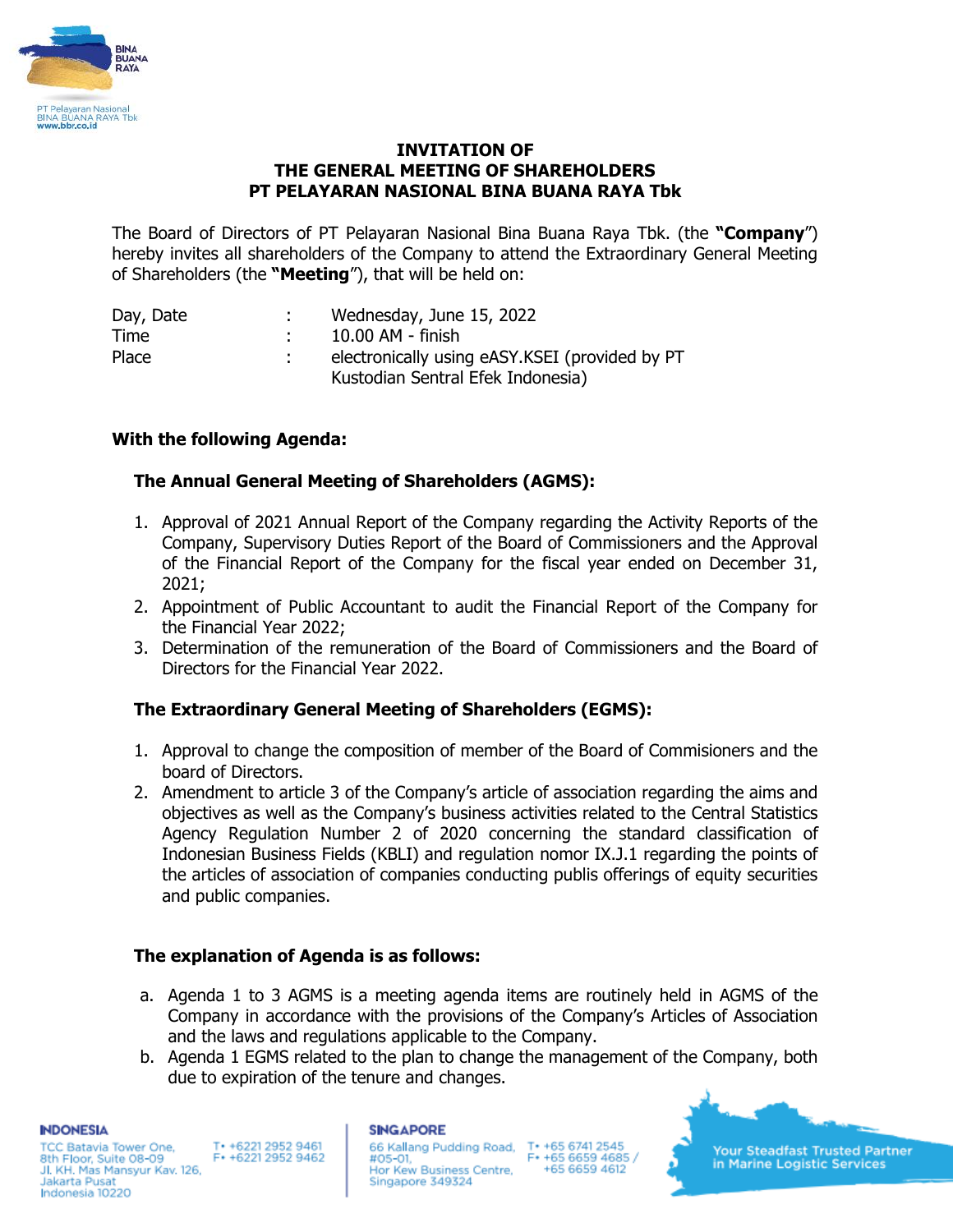

## **INVITATION OF THE GENERAL MEETING OF SHAREHOLDERS PT PELAYARAN NASIONAL BINA BUANA RAYA Tbk**

The Board of Directors of PT Pelayaran Nasional Bina Buana Raya Tbk. (the **"Company**") hereby invites all shareholders of the Company to attend the Extraordinary General Meeting of Shareholders (the **"Meeting**"), that will be held on:

| Day, Date | Wednesday, June 15, 2022                       |
|-----------|------------------------------------------------|
| Time      | 10.00 AM - finish                              |
| Place     | electronically using eASY.KSEI (provided by PT |
|           | Kustodian Sentral Efek Indonesia)              |

# **With the following Agenda:**

## **The Annual General Meeting of Shareholders (AGMS):**

- 1. Approval of 2021 Annual Report of the Company regarding the Activity Reports of the Company, Supervisory Duties Report of the Board of Commissioners and the Approval of the Financial Report of the Company for the fiscal year ended on December 31, 2021;
- 2. Appointment of Public Accountant to audit the Financial Report of the Company for the Financial Year 2022;
- 3. Determination of the remuneration of the Board of Commissioners and the Board of Directors for the Financial Year 2022.

# **The Extraordinary General Meeting of Shareholders (EGMS):**

- 1. Approval to change the composition of member of the Board of Commisioners and the board of Directors.
- 2. Amendment to article 3 of the Company's article of association regarding the aims and objectives as well as the Company's business activities related to the Central Statistics Agency Regulation Number 2 of 2020 concerning the standard classification of Indonesian Business Fields (KBLI) and regulation nomor IX.J.1 regarding the points of the articles of association of companies conducting publis offerings of equity securities and public companies.

### **The explanation of Agenda is as follows:**

- a. Agenda 1 to 3 AGMS is a meeting agenda items are routinely held in AGMS of the Company in accordance with the provisions of the Company's Articles of Association and the laws and regulations applicable to the Company.
- b. Agenda 1 EGMS related to the plan to change the management of the Company, both due to expiration of the tenure and changes.

**INDONESIA** 

**TCC Batavia Tower One,** T+ +6221 2952 9461 8th Floor, Suite 08-09 F+ +6221 2952 9462 Jl. KH. Mas Mansyur Kav. 126, Jakarta Pusat Indonesia 10220

#### **SINGAPORE**

66 Kallang Pudding Road, T+ +65 6741 2545 #05-01. Hor Kew Business Centre, Singapore 349324

F\* +65 6659 4685 / +65 6659 4612

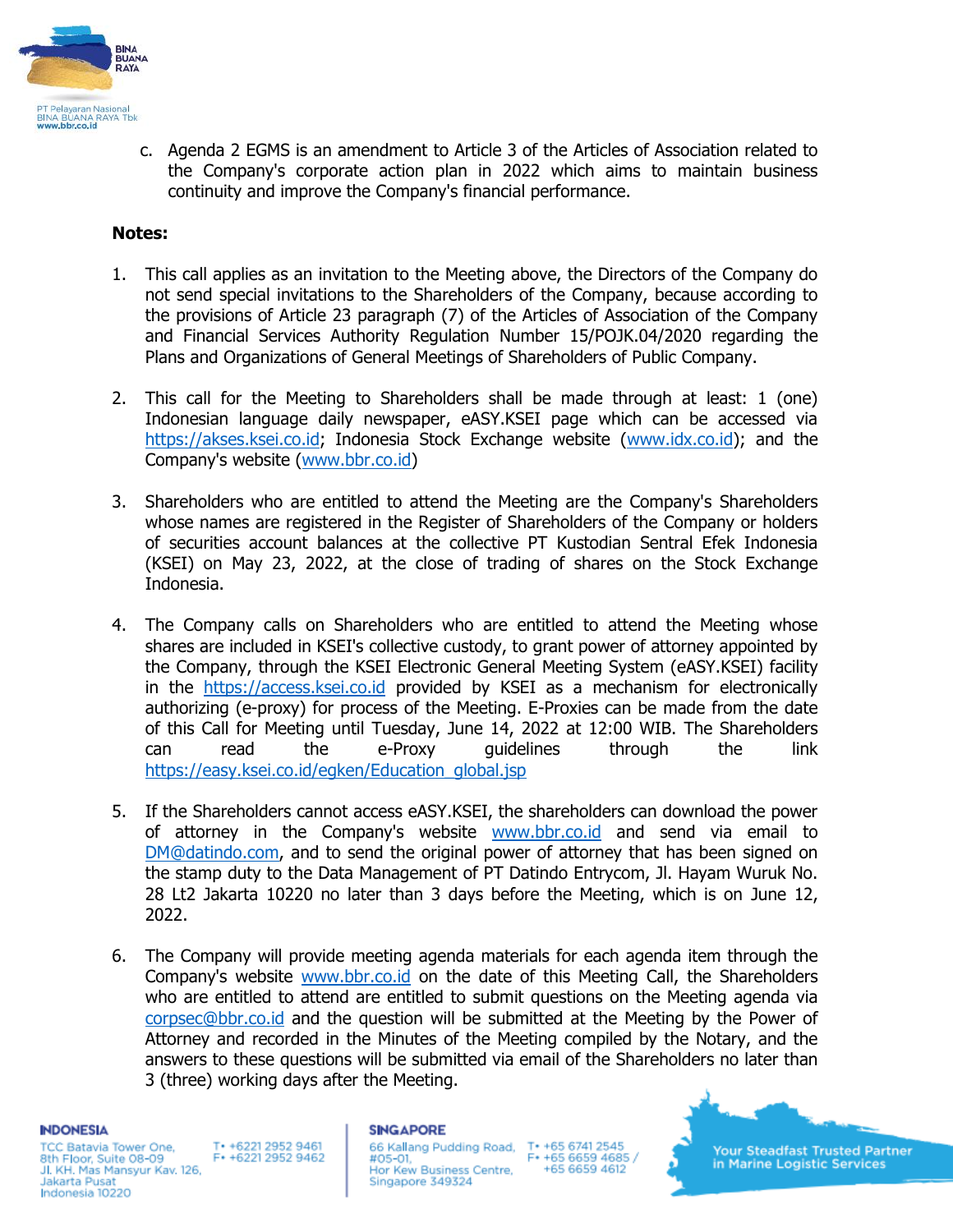

c. Agenda 2 EGMS is an amendment to Article 3 of the Articles of Association related to the Company's corporate action plan in 2022 which aims to maintain business continuity and improve the Company's financial performance.

### **Notes:**

- 1. This call applies as an invitation to the Meeting above, the Directors of the Company do not send special invitations to the Shareholders of the Company, because according to the provisions of Article 23 paragraph (7) of the Articles of Association of the Company and Financial Services Authority Regulation Number 15/POJK.04/2020 regarding the Plans and Organizations of General Meetings of Shareholders of Public Company.
- 2. This call for the Meeting to Shareholders shall be made through at least: 1 (one) Indonesian language daily newspaper, eASY.KSEI page which can be accessed via [https://akses.ksei.co.id;](https://akses.ksei.co.id/) Indonesia Stock Exchange website [\(www.idx.co.id\)](http://www.idx.co.id/); and the Company's website [\(www.bbr.co.id\)](http://www.bbr.co.id/)
- 3. Shareholders who are entitled to attend the Meeting are the Company's Shareholders whose names are registered in the Register of Shareholders of the Company or holders of securities account balances at the collective PT Kustodian Sentral Efek Indonesia (KSEI) on May 23, 2022, at the close of trading of shares on the Stock Exchange Indonesia.
- 4. The Company calls on Shareholders who are entitled to attend the Meeting whose shares are included in KSEI's collective custody, to grant power of attorney appointed by the Company, through the KSEI Electronic General Meeting System (eASY.KSEI) facility in the [https://access.ksei.co.id](https://access.ksei.co.id/) provided by KSEI as a mechanism for electronically authorizing (e-proxy) for process of the Meeting. E-Proxies can be made from the date of this Call for Meeting until Tuesday, June 14, 2022 at 12:00 WIB. The Shareholders can read the e-Proxy guidelines through the link [https://easy.ksei.co.id/egken/Education\\_global.jsp](https://easy.ksei.co.id/egken/Education_global.jsp)
- 5. If the Shareholders cannot access eASY.KSEI, the shareholders can download the power of attorney in the Company's website [www.bbr.co.id](http://www.bbr.co.id/) and send via email to [DM@datindo.com,](mailto:DM@datindo.com) and to send the original power of attorney that has been signed on the stamp duty to the Data Management of PT Datindo Entrycom, Jl. Hayam Wuruk No. 28 Lt2 Jakarta 10220 no later than 3 days before the Meeting, which is on June 12, 2022.
- 6. The Company will provide meeting agenda materials for each agenda item through the Company's website [www.bbr.co.id](http://www.bbr.co.id/) on the date of this Meeting Call, the Shareholders who are entitled to attend are entitled to submit questions on the Meeting agenda via [corpsec@bbr.co.id](mailto:corpsec@bbr.co.id) and the question will be submitted at the Meeting by the Power of Attorney and recorded in the Minutes of the Meeting compiled by the Notary, and the answers to these questions will be submitted via email of the Shareholders no later than 3 (three) working days after the Meeting.

#### **INDONESIA**

**TCC Batavia Tower One,** T+ +6221 2952 9461 F+ +6221 2952 9462 8th Floor, Suite 08-09 Jl. KH. Mas Mansyur Kav. 126, Jakarta Pusat Indonesia 10220

### **SINGAPORE**

66 Kallang Pudding Road, #05-01. Hor Kew Business Centre, Singapore 349324

T+ +65 6741 2545 F\* +65 6659 4685 / +65 6659 4612